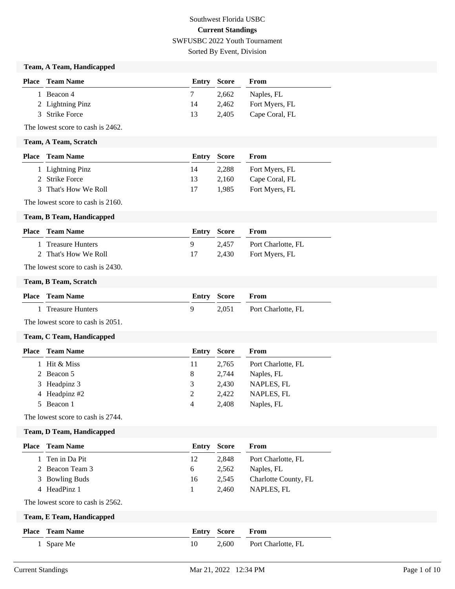# Southwest Florida USBC **Current Standings** SWFUSBC 2022 Youth Tournament Sorted By Event, Division

### **Team, A Team, Handicapped**

| <b>Place</b> Team Name | Entry Score |       | From           |
|------------------------|-------------|-------|----------------|
| 1 Beacon 4             |             | 2.662 | Naples, FL     |
| 2 Lightning Pinz       | 14          | 2.462 | Fort Myers, FL |
| 3 Strike Force         | 13          | 2.405 | Cape Coral, FL |

The lowest score to cash is 2462.

#### **Team, A Team, Scratch**

| Place | Team Name            | <b>Entry Score</b> |       | From           |
|-------|----------------------|--------------------|-------|----------------|
|       | 1 Lightning Pinz     | 14                 | 2.288 | Fort Myers, FL |
|       | 2 Strike Force       | 13                 | 2.160 | Cape Coral, FL |
|       | 3 That's How We Roll | 17                 | 1.985 | Fort Myers, FL |

The lowest score to cash is 2160.

#### **Team, B Team, Handicapped**

| <b>Place</b> Team Name | <b>Entry Score</b> |       | <b>From</b>          |
|------------------------|--------------------|-------|----------------------|
| 1 Treasure Hunters     |                    | 2.457 | Port Charlotte, FL   |
| 2 That's How We Roll   |                    |       | 2,430 Fort Myers, FL |

The lowest score to cash is 2430.

#### **Team, B Team, Scratch**

| <b>Place</b> Team Name | <b>Entry Score From</b> |                          |
|------------------------|-------------------------|--------------------------|
| 1 Treasure Hunters     |                         | 2,051 Port Charlotte, FL |

The lowest score to cash is 2051.

#### **Team, C Team, Handicapped**

| Place | <b>Team Name</b> | Entry | <b>Score</b> | From               |
|-------|------------------|-------|--------------|--------------------|
|       | 1 Hit & Miss     | 11    | 2.765        | Port Charlotte, FL |
|       | 2 Beacon 5       | 8     | 2.744        | Naples, FL         |
|       | 3 Headpinz 3     | 3     | 2.430        | NAPLES, FL         |
|       | 4 Headpinz #2    | 2     | 2.422        | NAPLES, FL         |
|       | 5 Beacon 1       | 4     | 2.408        | Naples, FL         |

The lowest score to cash is 2744.

#### **Team, D Team, Handicapped**

| <b>Place</b> | <b>Team Name</b>                  | Entry | <b>Score</b> | From                 |
|--------------|-----------------------------------|-------|--------------|----------------------|
|              | 1 Ten in Da Pit                   | 12    | 2,848        | Port Charlotte, FL   |
|              | 2 Beacon Team 3                   | 6     | 2,562        | Naples, FL           |
|              | 3 Bowling Buds                    | 16    | 2,545        | Charlotte County, FL |
|              | 4 HeadPinz 1                      | -1    | 2,460        | NAPLES, FL           |
|              | The lowest score to cash is 2562. |       |              |                      |
|              | Team, E Team, Handicapped         |       |              |                      |
| <b>Place</b> | <b>Team Name</b>                  | Entry | <b>Score</b> | From                 |
|              | 1 Spare Me                        | 10    | 2,600        | Port Charlotte, FL   |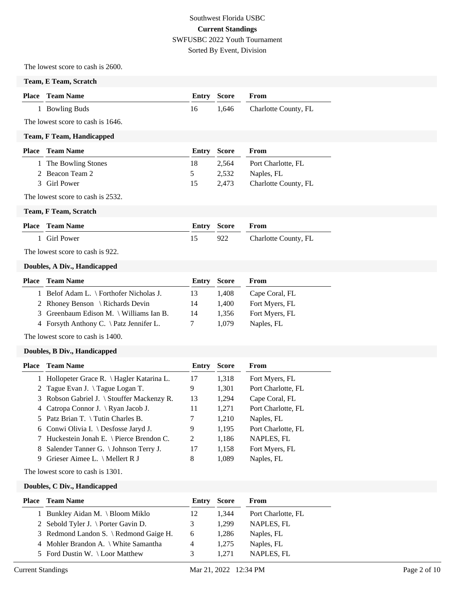# Southwest Florida USBC **Current Standings** SWFUSBC 2022 Youth Tournament Sorted By Event, Division

The lowest score to cash is 2600.

#### **Team, E Team, Scratch**

| <b>Place</b> Team Name | <b>Entry Score From</b> |                            |
|------------------------|-------------------------|----------------------------|
| 1 Bowling Buds         |                         | 1,646 Charlotte County, FL |

The lowest score to cash is 1646.

#### **Team, F Team, Handicapped**

| <b>Place – Team Name</b> |               | Entry Score | From                 |
|--------------------------|---------------|-------------|----------------------|
| 1 The Bowling Stones     | 18            | 2.564       | Port Charlotte, FL   |
| 2 Beacon Team 2          | $\mathcal{D}$ | 2.532       | Naples, FL           |
| 3 Girl Power             | 15            | 2.473       | Charlotte County, FL |

The lowest score to cash is 2532.

**Team, F Team, Scratch**

| <b>Place</b> Team Name | <b>Entry Score From</b> |                      |
|------------------------|-------------------------|----------------------|
| 1 Girl Power           | 922                     | Charlotte County, FL |

The lowest score to cash is 922.

#### **Doubles, A Div., Handicapped**

| <b>Place</b> Team Name                          | <b>Entry Score</b> |       | From           |
|-------------------------------------------------|--------------------|-------|----------------|
| 1 Belof Adam L. \ Forthofer Nicholas J.         | 13                 | 1.408 | Cape Coral, FL |
| 2 Rhoney Benson \ Richards Devin                | 14                 | 1.400 | Fort Myers, FL |
| 3 Greenbaum Edison M. \ Williams Ian B.         | 14                 | 1.356 | Fort Myers, FL |
| 4 Forsyth Anthony C. $\hat{\}$ Patz Jennifer L. |                    | 1.079 | Naples, FL     |
|                                                 |                    |       |                |

The lowest score to cash is 1400.

#### **Doubles, B Div., Handicapped**

|    | <b>Place</b> Team Name                       | Entry | <b>Score</b> | <b>From</b>        |
|----|----------------------------------------------|-------|--------------|--------------------|
|    | 1 Hollopeter Grace R. \ Hagler Katarina L.   | 17    | 1,318        | Fort Myers, FL     |
|    | 2 Tague Evan J. \Tague Logan T.              | 9     | 1,301        | Port Charlotte, FL |
|    | 3 Robson Gabriel J. \ Stouffer Mackenzy R.   | 13    | 1,294        | Cape Coral, FL     |
|    | 4 Catropa Connor J. \Ryan Jacob J.           | 11    | 1,271        | Port Charlotte, FL |
|    | 5 Patz Brian T. $\setminus$ Tutin Charles B. | 7     | 1,210        | Naples, FL         |
|    | 6 Conwi Olivia I. \ Desfosse Jaryd J.        | 9     | 1,195        | Port Charlotte, FL |
|    | 7 Huckestein Jonah E. \ Pierce Brendon C.    | 2     | 1,186        | NAPLES, FL         |
| 8. | Salender Tanner G. \ Johnson Terry J.        | 17    | 1,158        | Fort Myers, FL     |
| 9  | Grieser Aimee L. $\setminus$ Mellert R J     | 8     | 1.089        | Naples, FL         |

The lowest score to cash is 1301.

**Doubles, C Div., Handicapped**

| <b>Place</b> Team Name                 | Entry | <b>Score</b> | From               |
|----------------------------------------|-------|--------------|--------------------|
| 1 Bunkley Aidan M. \ Bloom Miklo       | 12    | 1.344        | Port Charlotte, FL |
| 2 Sebold Tyler J. \ Porter Gavin D.    | 3     | 1.299        | NAPLES, FL         |
| 3 Redmond Landon S. \ Redmond Gaige H. | 6     | 1.286        | Naples, FL         |
| 4 Mohler Brandon A. \ White Samantha   | 4     | 1.275        | Naples, FL         |
| 5 Ford Dustin W. \Loor Matthew         | 3     | 1.271        | NAPLES, FL         |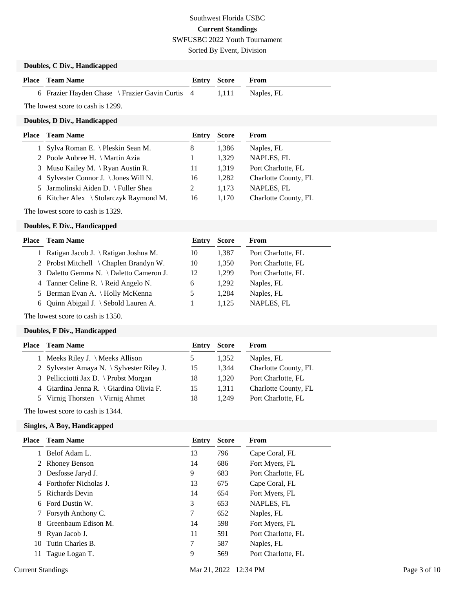Sorted By Event, Division

# **Doubles, C Div., Handicapped**

| <b>Place</b> Team Name                                           | <b>Entry Score From</b> |  |
|------------------------------------------------------------------|-------------------------|--|
| 6 Frazier Hayden Chase \ Frazier Gavin Curtis 4 1,111 Naples, FL |                         |  |

The lowest score to cash is 1299.

### **Doubles, D Div., Handicapped**

| Place Team Name                        | Entry | <b>Score</b> | From                 |
|----------------------------------------|-------|--------------|----------------------|
| 1 Sylva Roman E. \ Pleskin Sean M.     | 8     | 1.386        | Naples, FL           |
| 2 Poole Aubree H. \ Martin Azia        |       | 1.329        | NAPLES, FL           |
| 3 Muso Kailey M. \ Ryan Austin R.      | 11    | 1.319        | Port Charlotte, FL   |
| 4 Sylvester Connor J. \ Jones Will N.  | 16    | 1.282        | Charlotte County, FL |
| 5 Jarmolinski Aiden D. \ Fuller Shea   |       | 1.173        | NAPLES, FL           |
| 6 Kitcher Alex \ Stolarczyk Raymond M. | 16    | 1.170        | Charlotte County, FL |
|                                        |       |              |                      |

The lowest score to cash is 1329.

#### **Doubles, E Div., Handicapped**

| Place | <b>Team Name</b>                        | Entry | <b>Score</b> | From               |
|-------|-----------------------------------------|-------|--------------|--------------------|
|       | 1 Ratigan Jacob J. \ Ratigan Joshua M.  | 10    | 1,387        | Port Charlotte, FL |
|       | 2 Probst Mitchell \ Chaplen Brandyn W.  | 10    | 1,350        | Port Charlotte, FL |
|       | 3 Daletto Gemma N. \ Daletto Cameron J. | 12    | 1.299        | Port Charlotte, FL |
|       | 4 Tanner Celine R. \ Reid Angelo N.     | 6     | 1.292        | Naples, FL         |
|       | 5 Berman Evan A. \ Holly McKenna        |       | 1.284        | Naples, FL         |
|       | 6 Ouinn Abigail J. \ Sebold Lauren A.   |       | 1.125        | NAPLES, FL         |
|       |                                         |       |              |                    |

The lowest score to cash is 1350.

# **Doubles, F Div., Handicapped**

| Entry |                                             | From                 |
|-------|---------------------------------------------|----------------------|
|       | 1.352                                       | Naples, FL           |
| 15    | 1.344                                       | Charlotte County, FL |
| 18    | 1.320                                       | Port Charlotte, FL   |
| 15    | 1.311                                       | Charlotte County, FL |
| 18    | 1.249                                       | Port Charlotte, FL   |
|       | 2 Sylvester Amaya N. $\S$ ylvester Riley J. | Score                |

The lowest score to cash is 1344.

#### **Singles, A Boy, Handicapped**

| Place | Team Name               | Entry | <b>Score</b> | From               |
|-------|-------------------------|-------|--------------|--------------------|
|       | Belof Adam L.           | 13    | 796          | Cape Coral, FL     |
|       | 2 Rhoney Benson         | 14    | 686          | Fort Myers, FL     |
| 3     | Desfosse Jaryd J.       | 9     | 683          | Port Charlotte, FL |
|       | 4 Forthofer Nicholas J. | 13    | 675          | Cape Coral, FL     |
|       | Richards Devin          | 14    | 654          | Fort Myers, FL     |
|       | 6 Ford Dustin W.        | 3     | 653          | NAPLES, FL         |
|       | Forsyth Anthony C.      | 7     | 652          | Naples, FL         |
| 8     | Greenbaum Edison M.     | 14    | 598          | Fort Myers, FL     |
| 9.    | Ryan Jacob J.           | 11    | 591          | Port Charlotte, FL |
| 10    | Tutin Charles B.        | 7     | 587          | Naples, FL         |
| 11    | Tague Logan T.          | 9     | 569          | Port Charlotte, FL |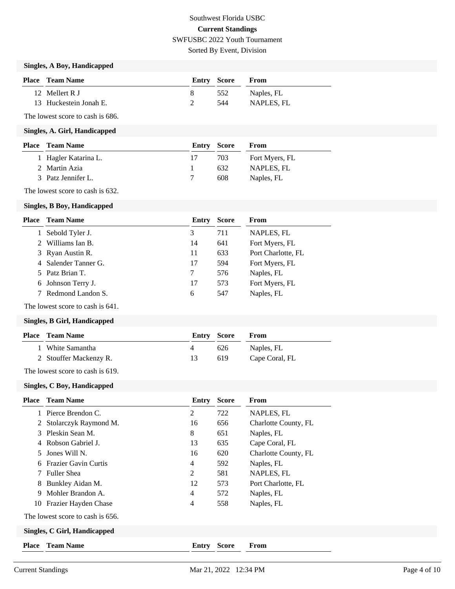Sorted By Event, Division

# **Singles, A Boy, Handicapped**

| <b>Place</b> Team Name | Entry Score |     | From       |
|------------------------|-------------|-----|------------|
| 12 Mellert R J         |             | 552 | Naples, FL |
| 13 Huckestein Jonah E. |             | 544 | NAPLES, FL |

The lowest score to cash is 686.

#### **Singles, A. Girl, Handicapped**

| <b>Place</b> Team Name | <b>Entry Score</b> |     | From           |
|------------------------|--------------------|-----|----------------|
| 1 Hagler Katarina L.   |                    | 703 | Fort Myers, FL |
| 2 Martin Azia          |                    | 632 | NAPLES. FL     |
| 3 Patz Jennifer L.     |                    | 608 | Naples, FL     |

The lowest score to cash is 632.

#### **Singles, B Boy, Handicapped**

| Place | <b>Team Name</b>     | Entry | <b>Score</b> | From               |
|-------|----------------------|-------|--------------|--------------------|
|       | Sebold Tyler J.      | 3     | 711          | NAPLES, FL         |
|       | Williams Ian B.      | 14    | 641          | Fort Myers, FL     |
|       | 3 Ryan Austin R.     | 11    | 633          | Port Charlotte, FL |
|       | 4 Salender Tanner G. | 17    | 594          | Fort Myers, FL     |
|       | 5 Patz Brian T.      |       | 576          | Naples, FL         |
|       | 6 Johnson Terry J.   | 17    | 573          | Fort Myers, FL     |
|       | 7 Redmond Landon S.  | 6     | 547          | Naples, FL         |

The lowest score to cash is 641.

### **Singles, B Girl, Handicapped**

|      | <b>Place – Team Name</b> |     | <b>Entry Score From</b> |                |
|------|--------------------------|-----|-------------------------|----------------|
|      | 1 White Samantha         | 4   | 626                     | Naples, FL     |
|      | 2 Stouffer Mackenzy R.   | 13. | 619                     | Cape Coral, FL |
| $-1$ |                          |     |                         |                |

The lowest score to cash is 619.

#### **Singles, C Boy, Handicapped**

| Place                        | <b>Team Name</b>                 | <b>Entry Score</b> |              | From                 |
|------------------------------|----------------------------------|--------------------|--------------|----------------------|
|                              | Pierce Brendon C.                | 2                  | 722          | NAPLES, FL           |
| 2                            | Stolarczyk Raymond M.            | 16                 | 656          | Charlotte County, FL |
| 3                            | Pleskin Sean M.                  | 8                  | 651          | Naples, FL           |
| 4                            | Robson Gabriel J.                | 13                 | 635          | Cape Coral, FL       |
| 5.                           | Jones Will N.                    | 16                 | 620          | Charlotte County, FL |
| 6                            | <b>Frazier Gavin Curtis</b>      | $\overline{4}$     | 592          | Naples, FL           |
|                              | <b>Fuller Shea</b>               | 2                  | 581          | NAPLES, FL           |
| 8                            | Bunkley Aidan M.                 | 12                 | 573          | Port Charlotte, FL   |
| 9                            | Mohler Brandon A.                | $\overline{4}$     | 572          | Naples, FL           |
| 10                           | Frazier Hayden Chase             | $\overline{4}$     | 558          | Naples, FL           |
|                              | The lowest score to cash is 656. |                    |              |                      |
| Singles, C Girl, Handicapped |                                  |                    |              |                      |
| <b>Place</b>                 | <b>Team Name</b>                 | Entry              | <b>Score</b> | From                 |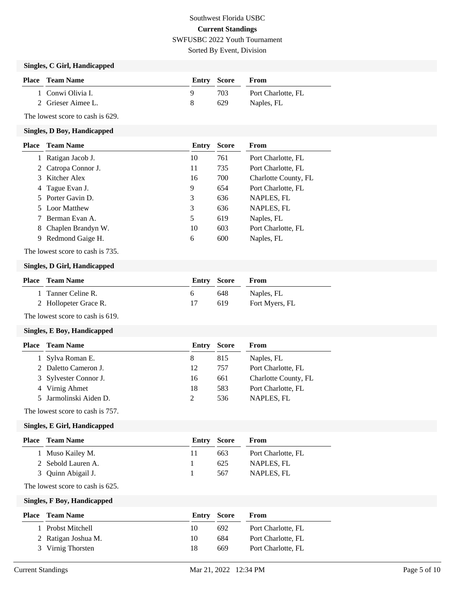Sorted By Event, Division

# **Singles, C Girl, Handicapped**

| <b>Place</b> Team Name | Entry Score |      | <b>From</b>        |
|------------------------|-------------|------|--------------------|
| 1 Conwi Olivia I.      |             | 703. | Port Charlotte, FL |
| 2 Grieser Aimee L.     |             | 629  | Naples, FL         |

The lowest score to cash is 629.

#### **Singles, D Boy, Handicapped**

| Place | <b>Team Name</b>    | Entry | <b>Score</b> | From                 |
|-------|---------------------|-------|--------------|----------------------|
|       | Ratigan Jacob J.    | 10    | 761          | Port Charlotte, FL   |
|       | 2 Catropa Connor J. | 11    | 735          | Port Charlotte, FL   |
|       | 3 Kitcher Alex      | 16    | 700          | Charlotte County, FL |
|       | 4 Tague Evan J.     | 9     | 654          | Port Charlotte, FL   |
|       | 5 Porter Gavin D.   | 3     | 636          | NAPLES, FL           |
|       | 5 Loor Matthew      | 3     | 636          | NAPLES, FL           |
|       | Berman Evan A.      | 5     | 619          | Naples, FL           |
| 8.    | Chaplen Brandyn W.  | 10    | 603          | Port Charlotte, FL   |
| 9.    | Redmond Gaige H.    | 6     | 600          | Naples, FL           |

The lowest score to cash is 735.

### **Singles, D Girl, Handicapped**

| <b>Place</b> Team Name | Entry Score |     | From           |
|------------------------|-------------|-----|----------------|
| 1 Tanner Celine R.     | h.          | 648 | Naples, FL     |
| 2 Hollopeter Grace R.  |             | 619 | Fort Myers, FL |

The lowest score to cash is 619.

### **Singles, E Boy, Handicapped**

| <b>Place</b> Team Name | Entry | <b>Score</b> | From                 |
|------------------------|-------|--------------|----------------------|
| 1 Sylva Roman E.       | 8     | 815          | Naples, FL           |
| 2 Daletto Cameron J.   | 12    | 757          | Port Charlotte, FL   |
| 3 Sylvester Connor J.  | 16    | 661          | Charlotte County, FL |
| 4 Virnig Ahmet         | 18    | 583          | Port Charlotte, FL   |
| 5 Jarmolinski Aiden D. |       | 536          | NAPLES, FL           |
|                        |       |              |                      |

The lowest score to cash is 757.

#### **Singles, E Girl, Handicapped**

| <b>Place</b> Team Name |    |     | From               |
|------------------------|----|-----|--------------------|
| 1 Muso Kailey M.       | 11 | 663 | Port Charlotte, FL |
| 2 Sebold Lauren A.     |    | 625 | NAPLES. FL         |
| 3 Quinn Abigail J.     |    | 567 | NAPLES, FL         |
|                        |    |     | <b>Entry Score</b> |

The lowest score to cash is 625.

**Singles, F Boy, Handicapped**

| Place | Team Name           |    | <b>Entry Score</b> | From               |
|-------|---------------------|----|--------------------|--------------------|
|       | 1 Probst Mitchell   | 10 | 692                | Port Charlotte, FL |
|       | 2 Ratigan Joshua M. | 10 | 684                | Port Charlotte, FL |
|       | 3 Virnig Thorsten   | 18 | 669                | Port Charlotte, FL |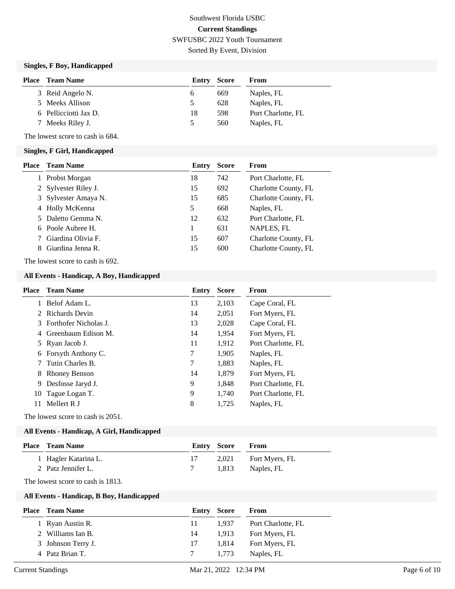Sorted By Event, Division

# **Singles, F Boy, Handicapped**

| Place | <b>Team Name</b>      | Entry         | Score | From               |
|-------|-----------------------|---------------|-------|--------------------|
|       | 3 Reid Angelo N.      | <sub>0</sub>  | 669   | Naples, FL         |
|       | 5 Meeks Allison       | $\mathcal{D}$ | 628   | Naples, FL         |
|       | 6 Pellicciotti Jax D. | 18            | 598   | Port Charlotte, FL |
|       | 7 Meeks Riley J.      | $\mathcal{D}$ | 560   | Naples, FL         |

The lowest score to cash is 684.

#### **Singles, F Girl, Handicapped**

| Place | <b>Team Name</b>     | Entry | <b>Score</b> | From                 |
|-------|----------------------|-------|--------------|----------------------|
|       | Probst Morgan        | 18    | 742          | Port Charlotte, FL   |
|       | Sylvester Riley J.   | 15    | 692          | Charlotte County, FL |
|       | 3 Sylvester Amaya N. | 15    | 685          | Charlotte County, FL |
|       | 4 Holly McKenna      | 5     | 668          | Naples, FL           |
|       | 5 Daletto Gemma N.   | 12    | 632          | Port Charlotte, FL   |
|       | 6 Poole Aubree H.    |       | 631          | NAPLES, FL           |
|       | Giardina Olivia F.   | 15    | 607          | Charlotte County, FL |
| 8.    | Giardina Jenna R.    | 15    | 600          | Charlotte County, FL |

The lowest score to cash is 692.

### **All Events - Handicap, A Boy, Handicapped**

| Place | <b>Team Name</b>        | Entry | <b>Score</b> | <b>From</b>        |
|-------|-------------------------|-------|--------------|--------------------|
| 1     | Belof Adam L.           | 13    | 2,103        | Cape Coral, FL     |
|       | 2 Richards Devin        | 14    | 2,051        | Fort Myers, FL     |
|       | 3 Forthofer Nicholas J. | 13    | 2,028        | Cape Coral, FL     |
|       | 4 Greenbaum Edison M.   | 14    | 1,954        | Fort Myers, FL     |
|       | 5 Ryan Jacob J.         | 11    | 1,912        | Port Charlotte, FL |
|       | 6 Forsyth Anthony C.    | 7     | 1,905        | Naples, FL         |
|       | Tutin Charles B.        | 7     | 1,883        | Naples, FL         |
| 8.    | <b>Rhoney Benson</b>    | 14    | 1,879        | Fort Myers, FL     |
| 9     | Desfosse Jaryd J.       | 9     | 1,848        | Port Charlotte, FL |
| 10    | Tague Logan T.          | 9     | 1,740        | Port Charlotte, FL |
| 11    | Mellert R J             | 8     | 1,725        | Naples, FL         |
|       |                         |       |              |                    |

The lowest score to cash is 2051.

#### **All Events - Handicap, A Girl, Handicapped**

| <b>Place – Team Name</b> | Entry Score |       | <b>From</b>          |
|--------------------------|-------------|-------|----------------------|
| 1 Hagler Katarina L.     |             |       | 2,021 Fort Myers, FL |
| 2 Patz Jennifer L.       |             | 1.813 | Naples, FL           |
|                          |             |       |                      |

The lowest score to cash is 1813.

#### **All Events - Handicap, B Boy, Handicapped**

| <b>Place</b> | <b>Team Name</b>   | Entry | Score | From               |
|--------------|--------------------|-------|-------|--------------------|
|              | Ryan Austin R.     | 11    | 1.937 | Port Charlotte, FL |
|              | 2 Williams Ian B.  | 14    | 1.913 | Fort Myers, FL     |
|              | 3 Johnson Terry J. | 17    | 1.814 | Fort Myers, FL     |
|              | 4 Patz Brian T.    |       | 1.773 | Naples, FL         |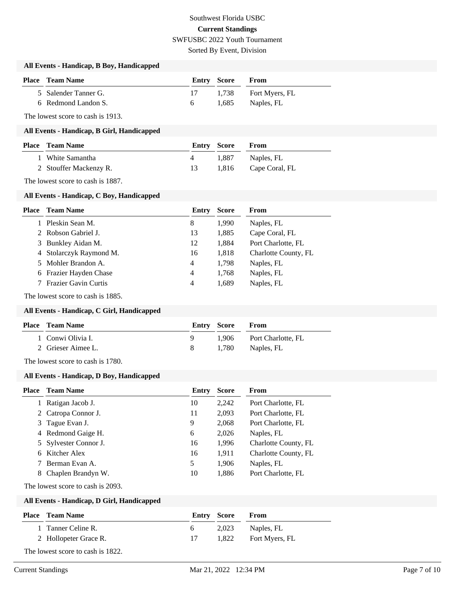Sorted By Event, Division

#### **All Events - Handicap, B Boy, Handicapped**

| <b>Place</b> Team Name | Entry Score | <b>From</b>          |
|------------------------|-------------|----------------------|
| 5 Salender Tanner G.   |             | 1,738 Fort Myers, FL |
| 6 Redmond Landon S.    | 6.          | 1,685 Naples, FL     |

The lowest score to cash is 1913.

#### **All Events - Handicap, B Girl, Handicapped**

| <b>Place</b> Team Name | <b>Entry Score</b> |       | <b>From</b>          |
|------------------------|--------------------|-------|----------------------|
| 1 White Samantha       |                    | 1.887 | Naples, FL           |
| 2 Stouffer Mackenzy R. | 13.                |       | 1,816 Cape Coral, FL |

The lowest score to cash is 1887.

#### **All Events - Handicap, C Boy, Handicapped**

| <b>Place</b> | <b>Team Name</b>            | Entry | <b>Score</b> | From                 |
|--------------|-----------------------------|-------|--------------|----------------------|
|              | Pleskin Sean M.             | 8     | 1.990        | Naples, FL           |
|              | 2 Robson Gabriel J.         | 13    | 1,885        | Cape Coral, FL       |
|              | 3 Bunkley Aidan M.          | 12    | 1,884        | Port Charlotte, FL   |
|              | 4 Stolarczyk Raymond M.     | 16    | 1,818        | Charlotte County, FL |
|              | 5 Mohler Brandon A.         | 4     | 1,798        | Naples, FL           |
|              | 6 Frazier Hayden Chase      | 4     | 1,768        | Naples, FL           |
|              | <b>Frazier Gavin Curtis</b> | 4     | 1,689        | Naples, FL           |
|              |                             |       |              |                      |

The lowest score to cash is 1885.

#### **All Events - Handicap, C Girl, Handicapped**

| <b>Place</b> Team Name | <b>Entry Score</b> | <b>From</b>              |
|------------------------|--------------------|--------------------------|
| 1 Conwi Olivia I.      |                    | 1.906 Port Charlotte, FL |
| 2 Grieser Aimee L.     | - 82               | 1,780 Naples, FL         |

The lowest score to cash is 1780.

#### **All Events - Handicap, D Boy, Handicapped**

| Place | <b>Team Name</b>      | Entry | <b>Score</b> | From                 |
|-------|-----------------------|-------|--------------|----------------------|
|       | Ratigan Jacob J.      | 10    | 2,242        | Port Charlotte, FL   |
|       | 2 Catropa Connor J.   | 11    | 2,093        | Port Charlotte, FL   |
| 3     | Tague Evan J.         | 9     | 2,068        | Port Charlotte, FL   |
|       | 4 Redmond Gaige H.    | 6     | 2,026        | Naples, FL           |
|       | 5 Sylvester Connor J. | 16    | 1,996        | Charlotte County, FL |
|       | 6 Kitcher Alex        | 16    | 1,911        | Charlotte County, FL |
|       | Berman Evan A.        | 5     | 1,906        | Naples, FL           |
|       | Chaplen Brandyn W.    | 10    | 1,886        | Port Charlotte, FL   |

The lowest score to cash is 2093.

#### **All Events - Handicap, D Girl, Handicapped**

| <b>Place</b> Team Name           |    | <b>Entry Score</b> | <b>From</b>          |  |  |
|----------------------------------|----|--------------------|----------------------|--|--|
| 1 Tanner Celine R.               | 6. | 2.023              | Naples, FL           |  |  |
| 2 Hollopeter Grace R.            |    |                    | 1,822 Fort Myers, FL |  |  |
| The lowest seems to each is 1922 |    |                    |                      |  |  |

The lowest score to cash is 1822.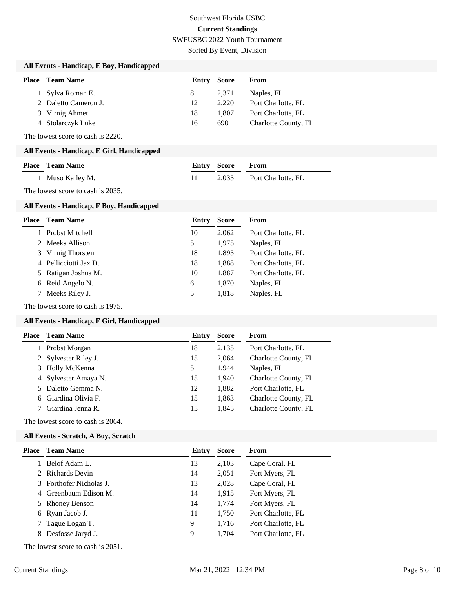Sorted By Event, Division

### **All Events - Handicap, E Boy, Handicapped**

| <b>Place</b> Team Name | Entry | <b>Score</b> | From                 |
|------------------------|-------|--------------|----------------------|
| 1 Sylva Roman E.       | 8     | 2.371        | Naples, FL           |
| 2 Daletto Cameron J.   | 12    | 2.220        | Port Charlotte, FL   |
| 3 Virnig Ahmet         | 18    | 1.807        | Port Charlotte, FL   |
| 4 Stolarczyk Luke      | 16    | 690          | Charlotte County, FL |

The lowest score to cash is 2220.

#### **All Events - Handicap, E Girl, Handicapped**

| <b>Place – Team Name</b> | <b>Entry Score From</b> |                          |
|--------------------------|-------------------------|--------------------------|
| 1 Muso Kailey M.         |                         | 2,035 Port Charlotte, FL |

The lowest score to cash is 2035.

#### **All Events - Handicap, F Boy, Handicapped**

| Place | <b>Team Name</b>      | Entry | <b>Score</b> | <b>From</b>        |
|-------|-----------------------|-------|--------------|--------------------|
|       | 1 Probst Mitchell     | 10    | 2,062        | Port Charlotte, FL |
|       | 2 Meeks Allison       | 5     | 1,975        | Naples, FL         |
|       | 3 Virnig Thorsten     | 18    | 1,895        | Port Charlotte, FL |
|       | 4 Pellicciotti Jax D. | 18    | 1,888        | Port Charlotte, FL |
|       | 5 Ratigan Joshua M.   | 10    | 1,887        | Port Charlotte, FL |
|       | 6 Reid Angelo N.      | 6     | 1,870        | Naples, FL         |
|       | Meeks Riley J.        | 5     | 1,818        | Naples, FL         |
|       |                       |       |              |                    |

The lowest score to cash is 1975.

### **All Events - Handicap, F Girl, Handicapped**

| <b>Team Name</b>     | Entry | <b>Score</b> | From                 |
|----------------------|-------|--------------|----------------------|
| Probst Morgan        | 18    | 2,135        | Port Charlotte, FL   |
| 2 Sylvester Riley J. | 15    | 2,064        | Charlotte County, FL |
| 3 Holly McKenna      | 5     | 1,944        | Naples, FL           |
| 4 Sylvester Amaya N. | 15    | 1,940        | Charlotte County, FL |
| 5 Daletto Gemma N.   | 12    | 1,882        | Port Charlotte, FL   |
| 6 Giardina Olivia F. | 15    | 1,863        | Charlotte County, FL |
| 7 Giardina Jenna R.  | 15    | 1,845        | Charlotte County, FL |
|                      |       |              |                      |

The lowest score to cash is 2064.

#### **All Events - Scratch, A Boy, Scratch**

| Place | <b>Team Name</b>        | Entry | <b>Score</b> | From               |
|-------|-------------------------|-------|--------------|--------------------|
|       | Belof Adam L.           | 13    | 2,103        | Cape Coral, FL     |
|       | 2 Richards Devin        | 14    | 2,051        | Fort Myers, FL     |
|       | 3 Forthofer Nicholas J. | 13    | 2,028        | Cape Coral, FL     |
|       | 4 Greenbaum Edison M.   | 14    | 1,915        | Fort Myers, FL     |
|       | 5 Rhoney Benson         | 14    | 1,774        | Fort Myers, FL     |
|       | 6 Ryan Jacob J.         | 11    | 1,750        | Port Charlotte, FL |
|       | Tague Logan T.          | 9     | 1,716        | Port Charlotte, FL |
| 8.    | Desfosse Jaryd J.       | 9     | 1,704        | Port Charlotte, FL |
|       |                         |       |              |                    |

The lowest score to cash is 2051.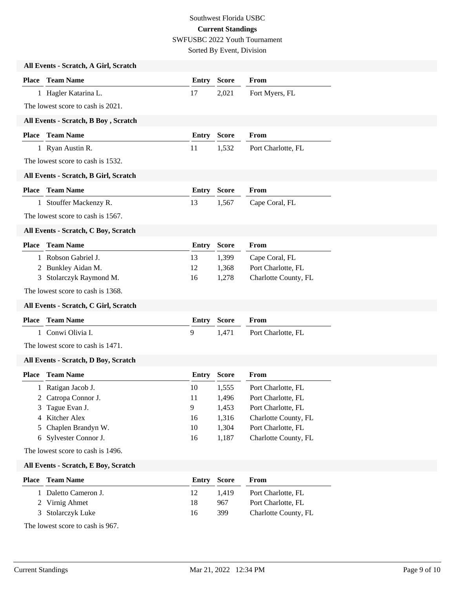Sorted By Event, Division

|              | All Events - Scratch, A Girl, Scratch |              |              |                      |
|--------------|---------------------------------------|--------------|--------------|----------------------|
|              | <b>Place</b> Team Name                | <b>Entry</b> | <b>Score</b> | From                 |
|              | 1 Hagler Katarina L.                  | 17           | 2,021        | Fort Myers, FL       |
|              | The lowest score to cash is 2021.     |              |              |                      |
|              | All Events - Scratch, B Boy, Scratch  |              |              |                      |
|              | <b>Place</b> Team Name                | <b>Entry</b> | <b>Score</b> | From                 |
|              | 1 Ryan Austin R.                      | 11           | 1,532        | Port Charlotte, FL   |
|              | The lowest score to cash is 1532.     |              |              |                      |
|              | All Events - Scratch, B Girl, Scratch |              |              |                      |
|              | <b>Place</b> Team Name                | <b>Entry</b> | <b>Score</b> | From                 |
|              | 1 Stouffer Mackenzy R.                | 13           | 1,567        | Cape Coral, FL       |
|              | The lowest score to cash is 1567.     |              |              |                      |
|              | All Events - Scratch, C Boy, Scratch  |              |              |                      |
| Place        | <b>Team Name</b>                      | <b>Entry</b> | <b>Score</b> | From                 |
|              | 1 Robson Gabriel J.                   | 13           | 1,399        | Cape Coral, FL       |
|              | 2 Bunkley Aidan M.                    | 12           | 1,368        | Port Charlotte, FL   |
| 3            | Stolarczyk Raymond M.                 | 16           | 1,278        | Charlotte County, FL |
|              | The lowest score to cash is 1368.     |              |              |                      |
|              | All Events - Scratch, C Girl, Scratch |              |              |                      |
| <b>Place</b> | <b>Team Name</b>                      | <b>Entry</b> | <b>Score</b> | From                 |
|              | 1 Conwi Olivia I.                     | 9            | 1,471        | Port Charlotte, FL   |
|              | The lowest score to cash is 1471.     |              |              |                      |
|              | All Events - Scratch, D Boy, Scratch  |              |              |                      |
|              | <b>Place</b> Team Name                | Entry        | <b>Score</b> | From                 |
|              | 1 Ratigan Jacob J.                    | 10           | 1,555        | Port Charlotte, FL   |
|              | 2 Catropa Connor J.                   | 11           | 1,496        | Port Charlotte, FL   |
| 3            | Tague Evan J.                         | 9            | 1,453        | Port Charlotte, FL   |
| 4            | Kitcher Alex                          | 16           | 1,316        | Charlotte County, FL |
| 5            | Chaplen Brandyn W.                    | 10           | 1,304        | Port Charlotte, FL   |
|              | 6 Sylvester Connor J.                 | 16           | 1,187        | Charlotte County, FL |
|              | The lowest score to cash is 1496.     |              |              |                      |
|              | All Events - Scratch, E Boy, Scratch  |              |              |                      |
| Place        | <b>Team Name</b>                      | <b>Entry</b> | <b>Score</b> | From                 |
|              | 1 Daletto Cameron J.                  | 12           | 1,419        | Port Charlotte, FL   |
|              | 2 Virnig Ahmet                        | 18           | 967          | Port Charlotte, FL   |
| 3            | Stolarczyk Luke                       | 16           | 399          | Charlotte County, FL |
|              | The lowest score to cash is 967.      |              |              |                      |
|              |                                       |              |              |                      |